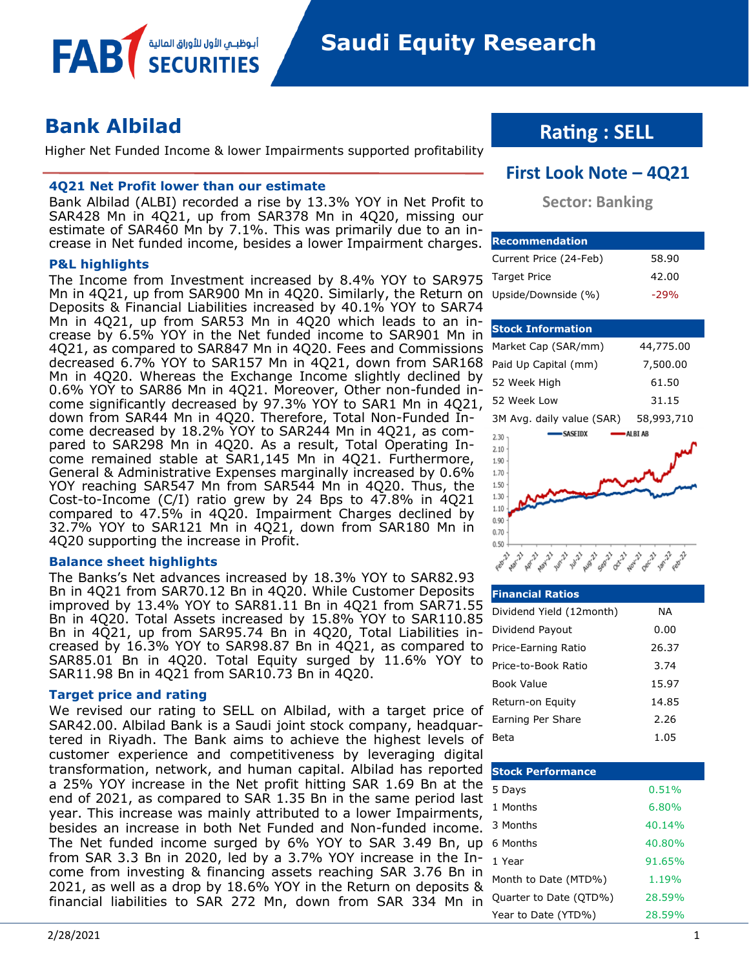## **Bank Albilad**

FAB

Higher Net Funded Income & lower Impairments supported profitability

#### **4Q21 Net Profit lower than our estimate**

أبوظبــي الأول للأوراق المالية

Bank Albilad (ALBI) recorded a rise by 13.3% YOY in Net Profit to SAR428 Mn in 4Q21, up from SAR378 Mn in 4Q20, missing our estimate of SAR460 Mn by 7.1%. This was primarily due to an increase in Net funded income, besides a lower Impairment charges.

#### **P&L highlights**

The Income from Investment increased by 8.4% YOY to SAR975 Mn in 4Q21, up from SAR900 Mn in 4Q20. Similarly, the Return on Deposits & Financial Liabilities increased by 40.1% YOY to SAR74 Mn in 4Q21, up from SAR53 Mn in 4Q20 which leads to an increase by 6.5% YOY in the Net funded income to SAR901 Mn in 4Q21, as compared to SAR847 Mn in 4Q20. Fees and Commissions decreased 6.7% YOY to SAR157 Mn in 4Q21, down from SAR168 Mn in 4Q20. Whereas the Exchange Income slightly declined by 0.6% YOY to SAR86 Mn in 4Q21. Moreover, Other non-funded income significantly decreased by 97.3% YOY to SAR1 Mn in 4Q21, down from SAR44 Mn in 4Q20. Therefore, Total Non-Funded Income decreased by 18.2% YOY to SAR244 Mn in 4Q21, as compared to SAR298 Mn in 4Q20. As a result, Total Operating Income remained stable at SAR1,145 Mn in 4Q21. Furthermore, General & Administrative Expenses marginally increased by 0.6% YOY reaching SAR547 Mn from SAR544 Mn in 4Q20. Thus, the Cost-to-Income (C/I) ratio grew by 24 Bps to 47.8% in 4Q21 compared to 47.5% in 4Q20. Impairment Charges declined by 32.7% YOY to SAR121 Mn in 4Q21, down from SAR180 Mn in 4Q20 supporting the increase in Profit.

#### **Balance sheet highlights**

The Banks's Net advances increased by 18.3% YOY to SAR82.93 Bn in 4Q21 from SAR70.12 Bn in 4Q20. While Customer Deposits improved by 13.4% YOY to SAR81.11 Bn in 4Q21 from SAR71.55 Bn in 4Q20. Total Assets increased by 15.8% YOY to SAR110.85 Bn in 4Q21, up from SAR95.74 Bn in 4Q20, Total Liabilities increased by 16.3% YOY to SAR98.87 Bn in 4Q21, as compared to SAR85.01 Bn in 4Q20. Total Equity surged by 11.6% YOY to SAR11.98 Bn in 4Q21 from SAR10.73 Bn in 4Q20.

#### **Target price and rating**

We revised our rating to SELL on Albilad, with a target price of SAR42.00. Albilad Bank is a Saudi joint stock company, headquartered in Riyadh. The Bank aims to achieve the highest levels of customer experience and competitiveness by leveraging digital transformation, network, and human capital. Albilad has reported a 25% YOY increase in the Net profit hitting SAR 1.69 Bn at the end of 2021, as compared to SAR 1.35 Bn in the same period last year. This increase was mainly attributed to a lower Impairments, besides an increase in both Net Funded and Non-funded income. The Net funded income surged by 6% YOY to SAR 3.49 Bn, up from SAR 3.3 Bn in 2020, led by a 3.7% YOY increase in the Income from investing & financing assets reaching SAR 3.76 Bn in 2021, as well as a drop by 18.6% YOY in the Return on deposits & financial liabilities to SAR 272 Mn, down from SAR 334 Mn in

## **Rating : SELL**

### **First Look Note – 4Q21**

#### **Sector: Banking**

| <b>Recommendation</b>  |        |
|------------------------|--------|
| Current Price (24-Feb) | 58.90  |
| <b>Target Price</b>    | 42.00  |
| Upside/Downside (%)    | $-29%$ |

#### **Stock Information**

 $0.50 +$ 

| 44,775.00  |
|------------|
| 7,500.00   |
| 61.50      |
| 31.15      |
| 58,993,710 |
| ALBI AB    |
|            |
|            |
|            |
|            |
|            |
|            |
|            |
|            |
|            |

| مقتلي فتحويه فيمونه والمحموم والمحموم والمحمد والمحموم والمحمد والمحموم والمحمد والمحمد والمحمد والمحمد والمحمد والمحمد والمحمد والمحمد والمحمد والمحمد والمحمد والمحمد والمحمد والمحمد والمحمد والمحمد والمحمد والمحمد والمحم |  |
|--------------------------------------------------------------------------------------------------------------------------------------------------------------------------------------------------------------------------------|--|
| <b>Financial Ratios</b>                                                                                                                                                                                                        |  |

| ппенски касов            |       |
|--------------------------|-------|
| Dividend Yield (12month) | ΝA    |
| Dividend Payout          | 0.00  |
| Price-Earning Ratio      | 26.37 |
| Price-to-Book Ratio      | 3.74  |
| Book Value               | 15.97 |
| Return-on Equity         | 14.85 |
| Earning Per Share        | 2.26  |
| Beta                     | 1.05  |

| <b>Stock Performance</b> |        |
|--------------------------|--------|
| 5 Days                   | 0.51%  |
| 1 Months                 | 6.80%  |
| 3 Months                 | 40.14% |
| 6 Months                 | 40.80% |
| 1 Year                   | 91.65% |
| Month to Date (MTD%)     | 1.19%  |
| Quarter to Date (QTD%)   | 28.59% |
| Year to Date (YTD%)      | 28.59% |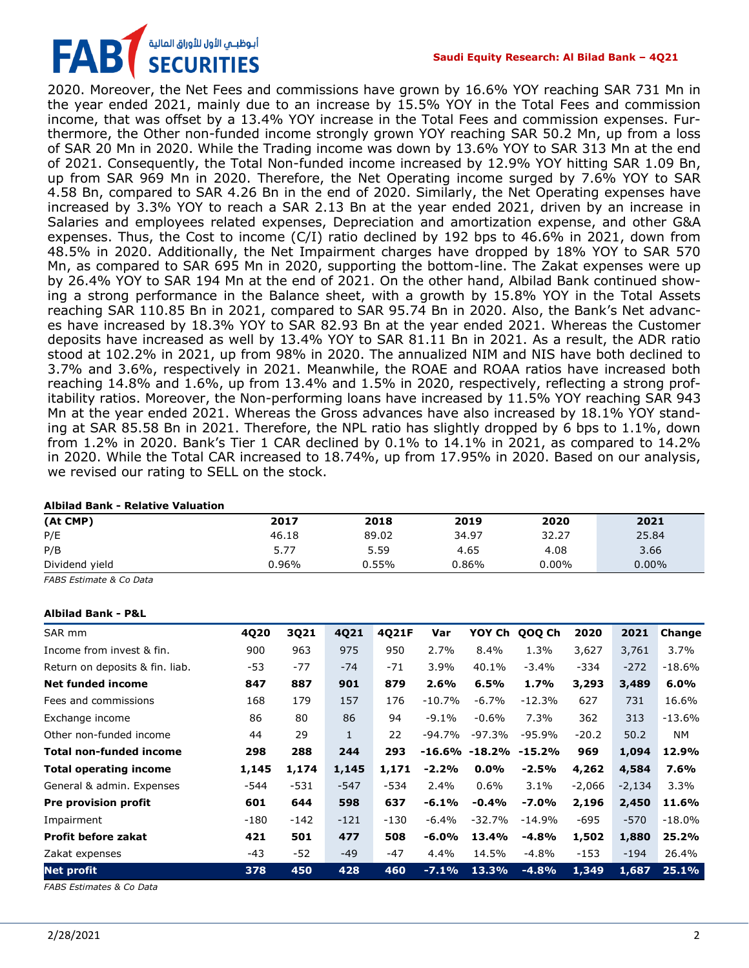## أبوظبـي الأول للأوراق المالية<br>SECURITIES FAB

2020. Moreover, the Net Fees and commissions have grown by 16.6% YOY reaching SAR 731 Mn in the year ended 2021, mainly due to an increase by 15.5% YOY in the Total Fees and commission income, that was offset by a 13.4% YOY increase in the Total Fees and commission expenses. Furthermore, the Other non-funded income strongly grown YOY reaching SAR 50.2 Mn, up from a loss of SAR 20 Mn in 2020. While the Trading income was down by 13.6% YOY to SAR 313 Mn at the end of 2021. Consequently, the Total Non-funded income increased by 12.9% YOY hitting SAR 1.09 Bn, up from SAR 969 Mn in 2020. Therefore, the Net Operating income surged by 7.6% YOY to SAR 4.58 Bn, compared to SAR 4.26 Bn in the end of 2020. Similarly, the Net Operating expenses have increased by 3.3% YOY to reach a SAR 2.13 Bn at the year ended 2021, driven by an increase in Salaries and employees related expenses, Depreciation and amortization expense, and other G&A expenses. Thus, the Cost to income  $(C/I)$  ratio declined by 192 bps to 46.6% in 2021, down from 48.5% in 2020. Additionally, the Net Impairment charges have dropped by 18% YOY to SAR 570 Mn, as compared to SAR 695 Mn in 2020, supporting the bottom-line. The Zakat expenses were up by 26.4% YOY to SAR 194 Mn at the end of 2021. On the other hand, Albilad Bank continued showing a strong performance in the Balance sheet, with a growth by 15.8% YOY in the Total Assets reaching SAR 110.85 Bn in 2021, compared to SAR 95.74 Bn in 2020. Also, the Bank's Net advances have increased by 18.3% YOY to SAR 82.93 Bn at the year ended 2021. Whereas the Customer deposits have increased as well by 13.4% YOY to SAR 81.11 Bn in 2021. As a result, the ADR ratio stood at 102.2% in 2021, up from 98% in 2020. The annualized NIM and NIS have both declined to 3.7% and 3.6%, respectively in 2021. Meanwhile, the ROAE and ROAA ratios have increased both reaching 14.8% and 1.6%, up from 13.4% and 1.5% in 2020, respectively, reflecting a strong profitability ratios. Moreover, the Non-performing loans have increased by 11.5% YOY reaching SAR 943 Mn at the year ended 2021. Whereas the Gross advances have also increased by 18.1% YOY standing at SAR 85.58 Bn in 2021. Therefore, the NPL ratio has slightly dropped by 6 bps to 1.1%, down from 1.2% in 2020. Bank's Tier 1 CAR declined by 0.1% to 14.1% in 2021, as compared to 14.2% in 2020. While the Total CAR increased to 18.74%, up from 17.95% in 2020. Based on our analysis, we revised our rating to SELL on the stock.

#### **Albilad Bank - Relative Valuation**

| (At CMP)       | 2017  | 2018  | 2019     | 2020     | 2021     |
|----------------|-------|-------|----------|----------|----------|
| P/E            | 46.18 | 89.02 | 34.97    | 32.27    | 25.84    |
| P/B            | 5.77  | 5.59  | 4.65     | 4.08     | 3.66     |
| Dividend yield | 0.96% | 0.55% | $0.86\%$ | $0.00\%$ | $0.00\%$ |

*FABS Estimate & Co Data*

#### **Albilad Bank - P&L**

| SAR mm                          | 4Q20   | 3Q21   | 4Q21   | 4Q21F  | Var      | YOY Ch            | QOQ Ch   | 2020     | 2021     | Change   |
|---------------------------------|--------|--------|--------|--------|----------|-------------------|----------|----------|----------|----------|
| Income from invest & fin.       | 900    | 963    | 975    | 950    | 2.7%     | 8.4%              | 1.3%     | 3,627    | 3,761    | $3.7\%$  |
| Return on deposits & fin. liab. | -53    | $-77$  | $-74$  | $-71$  | 3.9%     | 40.1%             | $-3.4%$  | $-334$   | $-272$   | $-18.6%$ |
| <b>Net funded income</b>        | 847    | 887    | 901    | 879    | 2.6%     | 6.5%              | 1.7%     | 3,293    | 3,489    | 6.0%     |
| Fees and commissions            | 168    | 179    | 157    | 176    | $-10.7%$ | $-6.7\%$          | $-12.3%$ | 627      | 731      | 16.6%    |
| Exchange income                 | 86     | 80     | 86     | 94     | $-9.1%$  | $-0.6%$           | 7.3%     | 362      | 313      | $-13.6%$ |
| Other non-funded income         | 44     | 29     | 1      | 22     | -94.7%   | -97.3%            | $-95.9%$ | $-20.2$  | 50.2     | NM       |
| <b>Total non-funded income</b>  | 298    | 288    | 244    | 293    |          | $-16.6\% -18.2\%$ | -15.2%   | 969      | 1,094    | 12.9%    |
| <b>Total operating income</b>   | 1,145  | 1,174  | 1,145  | 1,171  | $-2.2%$  | $0.0\%$           | $-2.5%$  | 4,262    | 4,584    | 7.6%     |
| General & admin. Expenses       | $-544$ | $-531$ | $-547$ | -534   | 2.4%     | $0.6\%$           | 3.1%     | $-2,066$ | $-2,134$ | 3.3%     |
| Pre provision profit            | 601    | 644    | 598    | 637    | $-6.1%$  | $-0.4%$           | $-7.0%$  | 2,196    | 2,450    | 11.6%    |
| Impairment                      | $-180$ | $-142$ | $-121$ | $-130$ | $-6.4%$  | $-32.7%$          | $-14.9%$ | $-695$   | $-570$   | $-18.0%$ |
| <b>Profit before zakat</b>      | 421    | 501    | 477    | 508    | $-6.0%$  | 13.4%             | $-4.8%$  | 1,502    | 1,880    | 25.2%    |
| Zakat expenses                  | $-43$  | $-52$  | $-49$  | $-47$  | 4.4%     | 14.5%             | $-4.8%$  | $-153$   | $-194$   | 26.4%    |
| <b>Net profit</b>               | 378    | 450    | 428    | 460    | $-7.1%$  | 13.3%             | $-4.8%$  | 1,349    | 1,687    | 25.1%    |

*FABS Estimates & Co Data*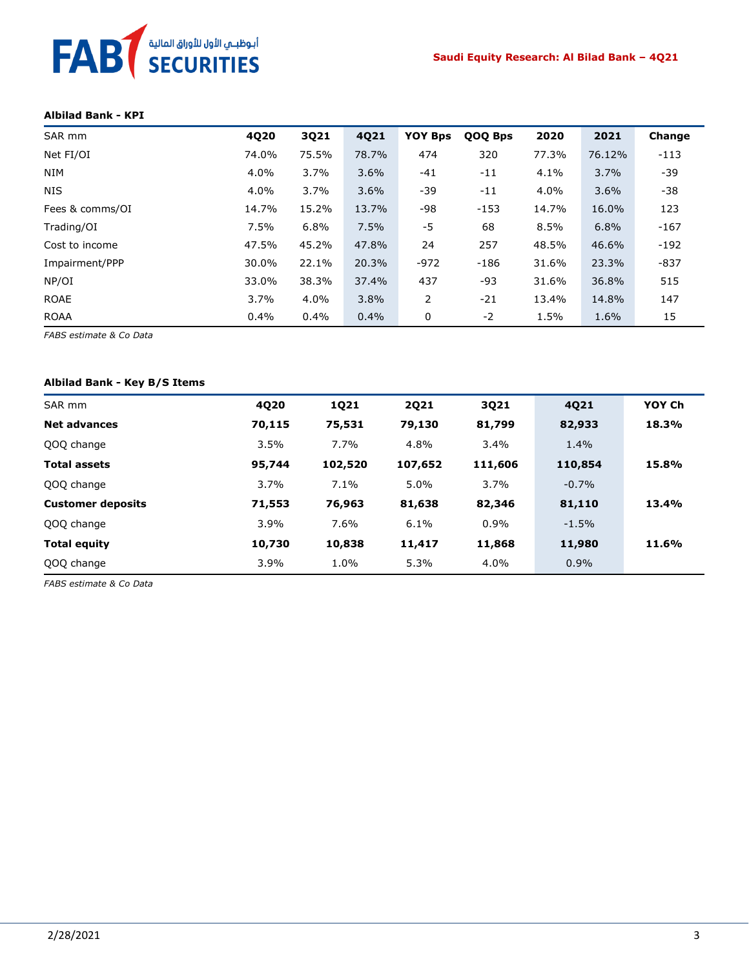# FAB<sup>T</sup> SECURITIES

#### **Albilad Bank - KPI**

| SAR mm          | 4Q20  | 3Q21    | 4Q21  | <b>YOY Bps</b> | QOQ Bps | 2020  | 2021   | Change |
|-----------------|-------|---------|-------|----------------|---------|-------|--------|--------|
| Net FI/OI       | 74.0% | 75.5%   | 78.7% | 474            | 320     | 77.3% | 76.12% | $-113$ |
| <b>NIM</b>      | 4.0%  | 3.7%    | 3.6%  | $-41$          | -11     | 4.1%  | 3.7%   | $-39$  |
| <b>NIS</b>      | 4.0%  | 3.7%    | 3.6%  | $-39$          | $-11$   | 4.0%  | 3.6%   | $-38$  |
| Fees & comms/OI | 14.7% | 15.2%   | 13.7% | -98            | $-153$  | 14.7% | 16.0%  | 123    |
| Trading/OI      | 7.5%  | 6.8%    | 7.5%  | $-5$           | 68      | 8.5%  | 6.8%   | $-167$ |
| Cost to income  | 47.5% | 45.2%   | 47.8% | 24             | 257     | 48.5% | 46.6%  | $-192$ |
| Impairment/PPP  | 30.0% | 22.1%   | 20.3% | $-972$         | $-186$  | 31.6% | 23.3%  | $-837$ |
| NP/OI           | 33.0% | 38.3%   | 37.4% | 437            | -93     | 31.6% | 36.8%  | 515    |
| <b>ROAE</b>     | 3.7%  | $4.0\%$ | 3.8%  | 2              | $-21$   | 13.4% | 14.8%  | 147    |
| <b>ROAA</b>     | 0.4%  | 0.4%    | 0.4%  | 0              | $-2$    | 1.5%  | 1.6%   | 15     |

*FABS estimate & Co Data*

#### **Albilad Bank - Key B/S Items**

| SAR mm                   | 4Q20   | 1Q21    | <b>2Q21</b> | 3Q21    | 4Q21    | YOY Ch |
|--------------------------|--------|---------|-------------|---------|---------|--------|
| <b>Net advances</b>      | 70,115 | 75,531  | 79,130      | 81,799  | 82,933  | 18.3%  |
| QOQ change               | 3.5%   | 7.7%    | 4.8%        | 3.4%    | 1.4%    |        |
| <b>Total assets</b>      | 95,744 | 102,520 | 107,652     | 111,606 | 110,854 | 15.8%  |
| QOQ change               | 3.7%   | 7.1%    | $5.0\%$     | 3.7%    | $-0.7%$ |        |
| <b>Customer deposits</b> | 71,553 | 76,963  | 81,638      | 82,346  | 81,110  | 13.4%  |
| QOQ change               | 3.9%   | 7.6%    | 6.1%        | 0.9%    | $-1.5%$ |        |
| <b>Total equity</b>      | 10,730 | 10,838  | 11,417      | 11,868  | 11,980  | 11.6%  |
| QOQ change               | 3.9%   | 1.0%    | 5.3%        | 4.0%    | $0.9\%$ |        |

*FABS estimate & Co Data*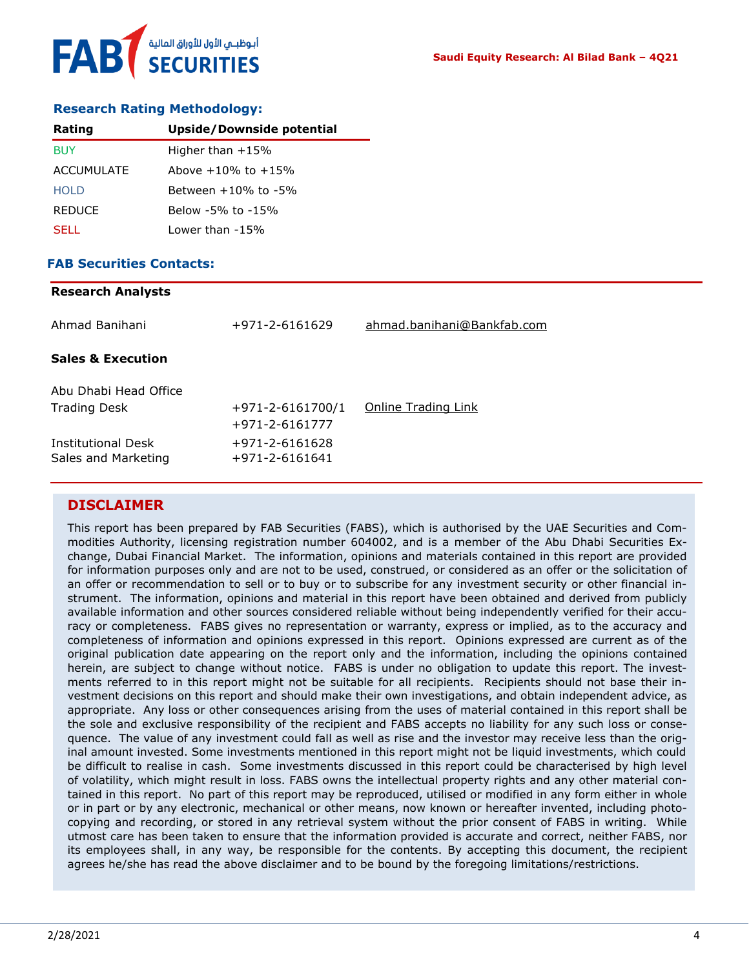#### **Research Rating Methodology:**

| Rating            | <b>Upside/Downside potential</b> |
|-------------------|----------------------------------|
| <b>BUY</b>        | Higher than $+15%$               |
| <b>ACCUMULATE</b> | Above $+10\%$ to $+15\%$         |
| HOI D             | Between $+10\%$ to $-5\%$        |
| <b>REDUCE</b>     | Below -5% to -15%                |
| SELL.             | Lower than -15%                  |

#### **FAB Securities Contacts:**

**Research Analysts**

| Research Analysts                         |                                          |                            |
|-------------------------------------------|------------------------------------------|----------------------------|
| Ahmad Banihani                            | $+971 - 2 - 6161629$                     | ahmad.banihani@Bankfab.com |
| <b>Sales &amp; Execution</b>              |                                          |                            |
| Abu Dhabi Head Office                     |                                          |                            |
| <b>Trading Desk</b>                       | $+971 - 2 - 6161700/1$<br>+971-2-6161777 | Online Trading Link        |
| Institutional Desk<br>Sales and Marketing | +971-2-6161628<br>$+971 - 2 - 6161641$   |                            |
|                                           |                                          |                            |

#### **DISCLAIMER**

This report has been prepared by FAB Securities (FABS), which is authorised by the UAE Securities and Commodities Authority, licensing registration number 604002, and is a member of the Abu Dhabi Securities Exchange, Dubai Financial Market. The information, opinions and materials contained in this report are provided for information purposes only and are not to be used, construed, or considered as an offer or the solicitation of an offer or recommendation to sell or to buy or to subscribe for any investment security or other financial instrument. The information, opinions and material in this report have been obtained and derived from publicly available information and other sources considered reliable without being independently verified for their accuracy or completeness. FABS gives no representation or warranty, express or implied, as to the accuracy and completeness of information and opinions expressed in this report. Opinions expressed are current as of the original publication date appearing on the report only and the information, including the opinions contained herein, are subject to change without notice. FABS is under no obligation to update this report. The investments referred to in this report might not be suitable for all recipients. Recipients should not base their investment decisions on this report and should make their own investigations, and obtain independent advice, as appropriate. Any loss or other consequences arising from the uses of material contained in this report shall be the sole and exclusive responsibility of the recipient and FABS accepts no liability for any such loss or consequence. The value of any investment could fall as well as rise and the investor may receive less than the original amount invested. Some investments mentioned in this report might not be liquid investments, which could be difficult to realise in cash. Some investments discussed in this report could be characterised by high level of volatility, which might result in loss. FABS owns the intellectual property rights and any other material contained in this report. No part of this report may be reproduced, utilised or modified in any form either in whole or in part or by any electronic, mechanical or other means, now known or hereafter invented, including photocopying and recording, or stored in any retrieval system without the prior consent of FABS in writing. While utmost care has been taken to ensure that the information provided is accurate and correct, neither FABS, nor its employees shall, in any way, be responsible for the contents. By accepting this document, the recipient agrees he/she has read the above disclaimer and to be bound by the foregoing limitations/restrictions.